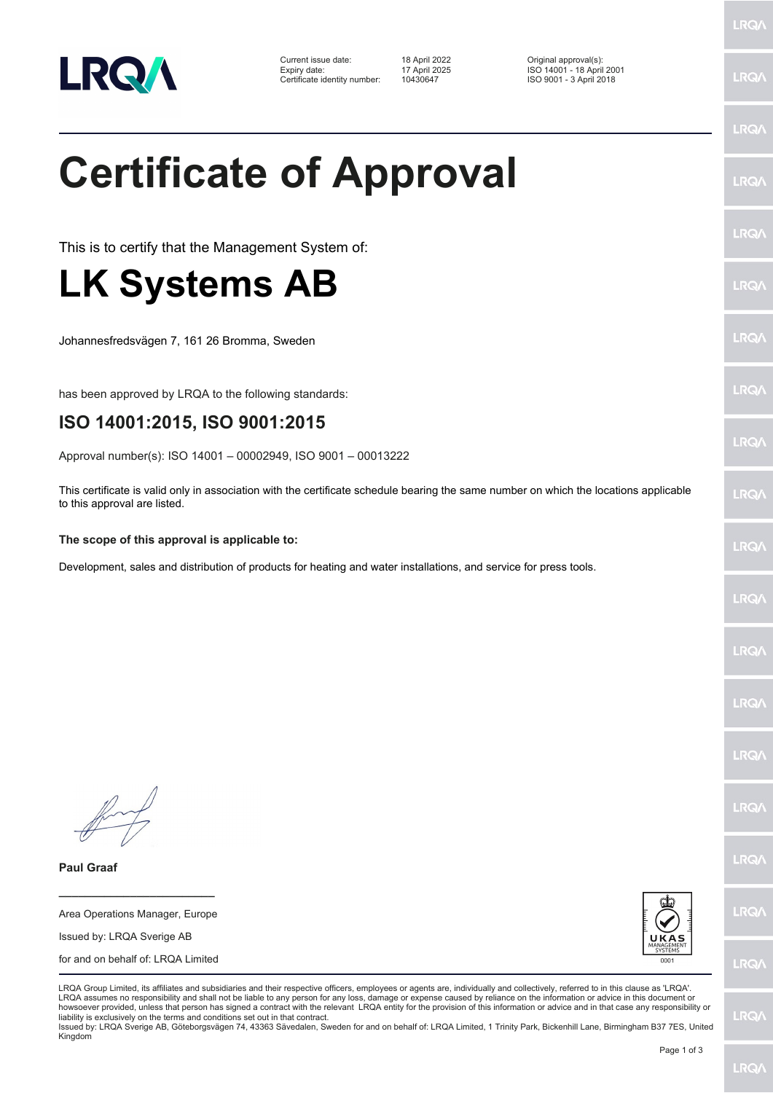

Current issue date: 18 April 2022 Original approval(s): Expiry date: 17 April 2025 ISO 14001 - 18 April 2001 Certificate identity number: 10430647 ISO 9001 - 3 April 2018

**Certificate of Approval**

This is to certify that the Management System of:

## **LK Systems AB**

Johannesfredsvägen 7, 161 26 Bromma, Sweden

has been approved by LRQA to the following standards:

## **ISO 14001:2015, ISO 9001:2015**

Approval number(s): ISO 14001 – 00002949, ISO 9001 – 00013222

This certificate is valid only in association with the certificate schedule bearing the same number on which the locations applicable to this approval are listed.

## **The scope of this approval is applicable to:**

Development, sales and distribution of products for heating and water installations, and service for press tools.

**Paul Graaf**

Area Operations Manager, Europe Issued by: LRQA Sverige AB for and on behalf of: LRQA Limited

**\_\_\_\_\_\_\_\_\_\_\_\_\_\_\_\_\_\_\_\_\_\_\_\_**



LRQA Group Limited, its affiliates and subsidiaries and their respective officers, employees or agents are, individually and collectively, referred to in this clause as 'LRQA'. LRQA assumes no responsibility and shall not be liable to any person for any loss, damage or expense caused by reliance on the information or advice in this document or howsoever provided, unless that person has signed a contract with the relevant LRQA entity for the provision of this information or advice and in that case any responsibility or liability is exclusively on the terms and conditions set out in that contract.

Issued by: LRQA Sverige AB, Göteborgsvägen 74, 43363 Sävedalen, Sweden for and on behalf of: LRQA Limited, 1 Trinity Park, Bickenhill Lane, Birmingham B37 7ES, United Kingdom

LRQ/

LRQ/

LRQ/

LRQ/

LRQ/

LRQ/

LRQ/

LRQ/

**LRO** 

LRQ/

LRQ/

LRQ/

LRQ/

**IRQ** 

**LRO/** 

LRQ/

LRQ/

**LRQ/** 

LRQ/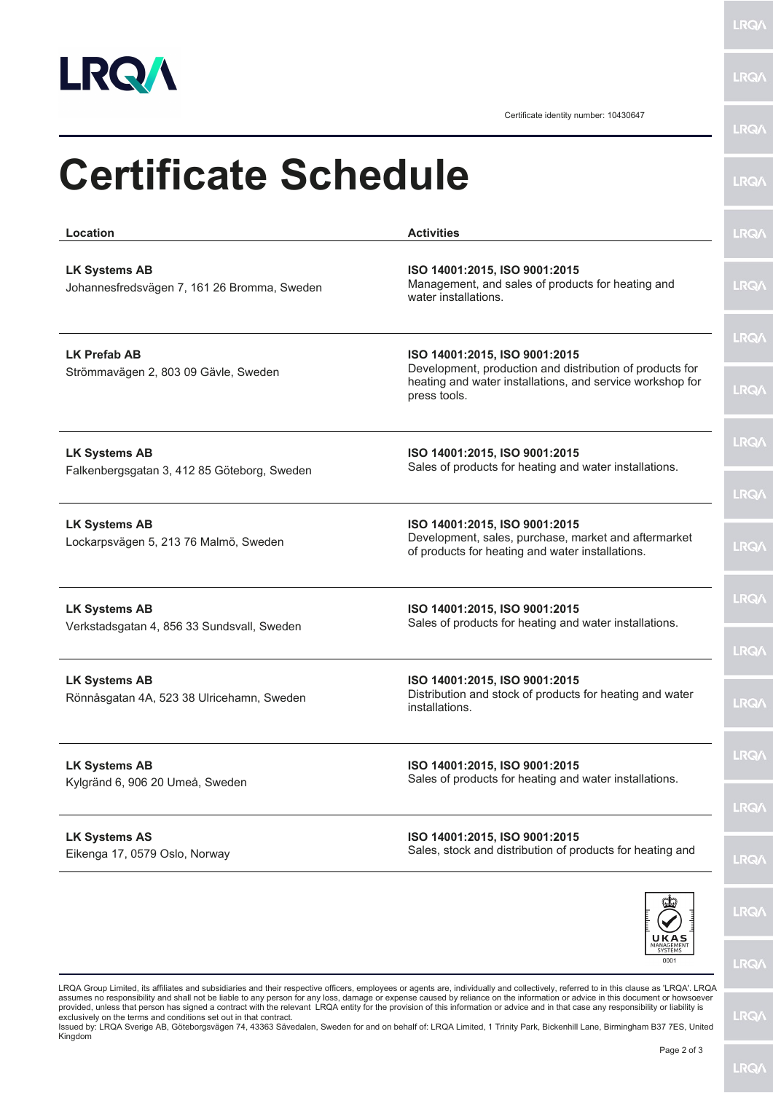

**LRQA** 

**LRQA** 

Certificate identity number: 10430647

| <b>Activities</b>                                                                                                                                                      | <b>LRQ/</b>                |
|------------------------------------------------------------------------------------------------------------------------------------------------------------------------|----------------------------|
| ISO 14001:2015, ISO 9001:2015<br>Management, and sales of products for heating and<br>water installations.                                                             | <b>LRQA</b>                |
| ISO 14001:2015, ISO 9001:2015<br>Development, production and distribution of products for<br>heating and water installations, and service workshop for<br>press tools. | <b>LRQ/</b><br><b>LRQ/</b> |
| ISO 14001:2015, ISO 9001:2015<br>Sales of products for heating and water installations.                                                                                | <b>LRQ/</b><br><b>LRQA</b> |
| ISO 14001:2015, ISO 9001:2015<br>Development, sales, purchase, market and aftermarket<br>of products for heating and water installations.                              | <b>LRQ/</b>                |
| ISO 14001:2015, ISO 9001:2015<br>Sales of products for heating and water installations.                                                                                | <b>LRQA</b><br><b>LRQ/</b> |
| ISO 14001:2015, ISO 9001:2015<br>Distribution and stock of products for heating and water<br>installations.                                                            | <b>LRQA</b>                |
| ISO 14001:2015, ISO 9001:2015<br>Sales of products for heating and water installations.                                                                                | <b>LRQ/</b><br><b>LRQ/</b> |
| ISO 14001:2015, ISO 9001:2015<br>Sales, stock and distribution of products for heating and                                                                             | LRQ/                       |
|                                                                                                                                                                        | <b>LRQ/</b>                |
|                                                                                                                                                                        |                            |

LRQA Group Limited, its affiliates and subsidiaries and their respective officers, employees or agents are, individually and collectively, referred to in this clause as 'LRQA'. LRQA<br>assumes no responsibility and shall not

**LRQA**